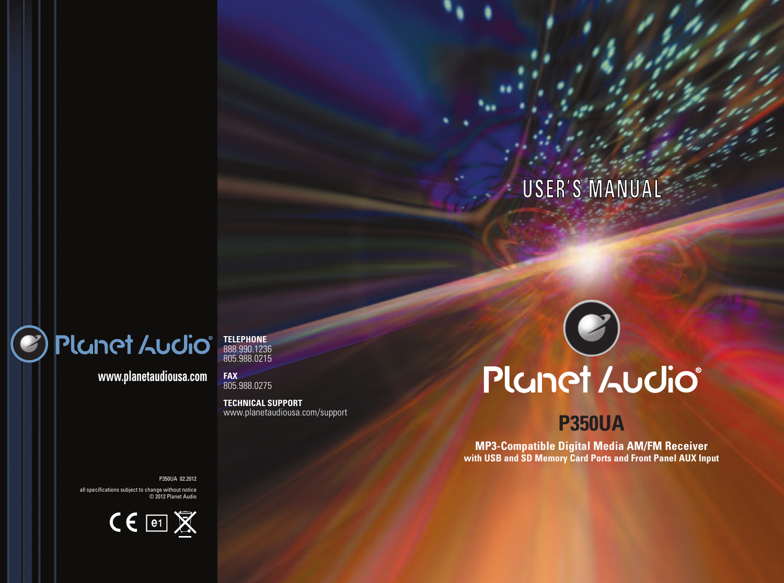## **USER'S MANUAL**

## Planet Audio®

e

**www.planetaudiousa.com**

**TELEPHONE** 888.990.1236 805.988.0215

**FAX** 805.988.0275

**TECHNICAL SUPPORT** www.planetaudiousa.com/support

# Planet Audio®

## **P350UA**

**MP3-Compatible Digital Media AM/FM Receiver with USB and SD Memory Card Ports and Front Panel AUX Input**

P350UA 02.2012

all specifications subject to change without notice © 2012 Planet Audio

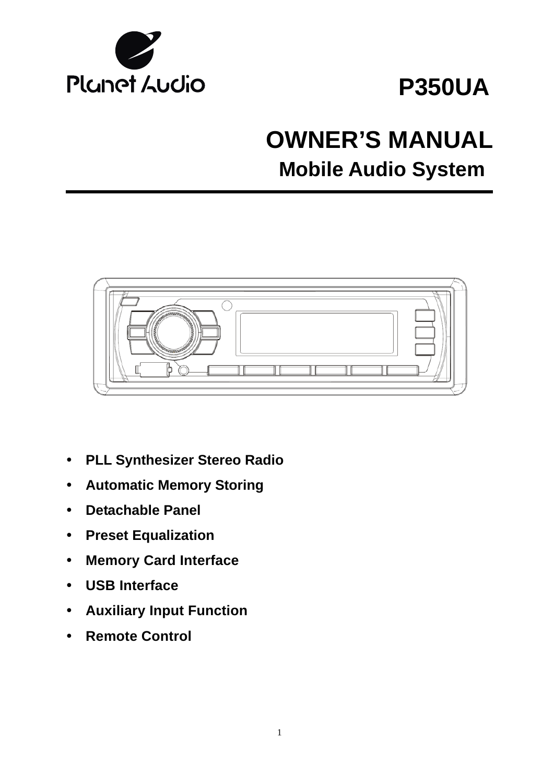

## **P350UA**

## **OWNER'S MANUAL Mobile Audio System**



- y **PLL Synthesizer Stereo Radio**
- **Automatic Memory Storing**
- y **Detachable Panel**
- **Preset Equalization**
- y **Memory Card Interface**
- y **USB Interface**
- y **Auxiliary Input Function**
- y **Remote Control**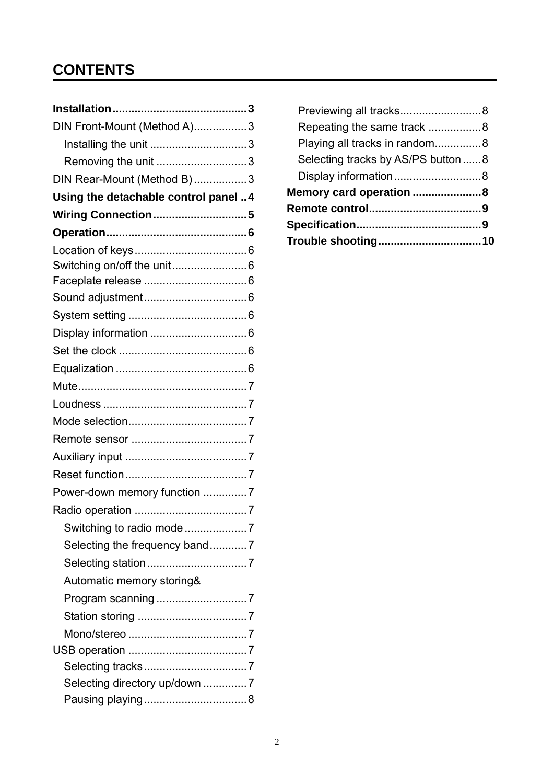## **CONTENTS**

| DIN Front-Mount (Method A)3           |
|---------------------------------------|
| Installing the unit 3                 |
| Removing the unit 3                   |
| DIN Rear-Mount (Method B)3            |
| Using the detachable control panel  4 |
| Wiring Connection5                    |
|                                       |
|                                       |
|                                       |
|                                       |
|                                       |
|                                       |
|                                       |
|                                       |
|                                       |
|                                       |
|                                       |
|                                       |
|                                       |
|                                       |
|                                       |
| Power-down memory function 7          |
|                                       |
| Switching to radio mode 7             |
| Selecting the frequency band7         |
|                                       |
| Automatic memory storing&             |
|                                       |
|                                       |
|                                       |
|                                       |
|                                       |
| Selecting directory up/down 7         |
|                                       |

| Previewing all tracks8             |  |
|------------------------------------|--|
| Repeating the same track 8         |  |
| Playing all tracks in random8      |  |
| Selecting tracks by AS/PS button 8 |  |
| Display information8               |  |
| Memory card operation 8            |  |
|                                    |  |
|                                    |  |
| Trouble shooting10                 |  |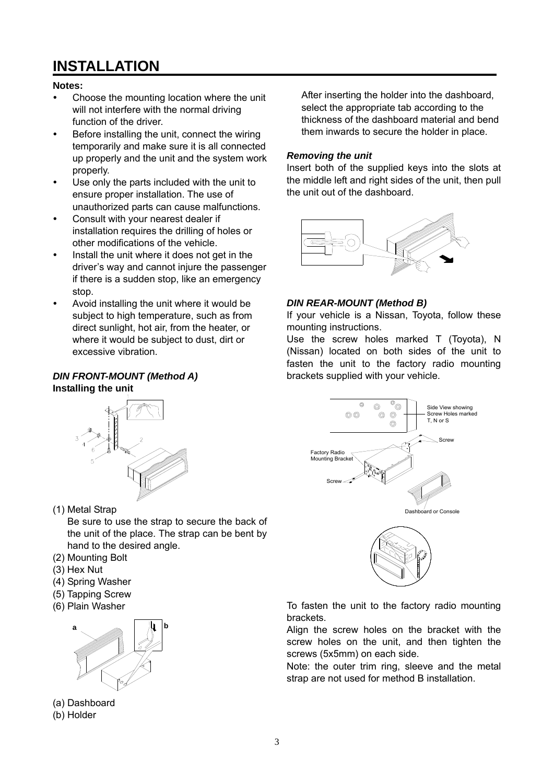## **INSTALLATION**

#### **Notes:**

- Choose the mounting location where the unit will not interfere with the normal driving function of the driver.
- Before installing the unit, connect the wiring temporarily and make sure it is all connected up properly and the unit and the system work properly.
- Use only the parts included with the unit to ensure proper installation. The use of unauthorized parts can cause malfunctions.
- Consult with your nearest dealer if installation requires the drilling of holes or other modifications of the vehicle.
- Install the unit where it does not get in the driver's way and cannot injure the passenger if there is a sudden stop, like an emergency stop.
- Avoid installing the unit where it would be subject to high temperature, such as from direct sunlight, hot air, from the heater, or where it would be subject to dust, dirt or excessive vibration.

#### *DIN FRONT-MOUNT (Method A)*  **Installing the unit**



(1) Metal Strap

Be sure to use the strap to secure the back of the unit of the place. The strap can be bent by hand to the desired angle.

- (2) Mounting Bolt
- (3) Hex Nut
- (4) Spring Washer
- (5) Tapping Screw
- (6) Plain Washer



(a) Dashboard



After inserting the holder into the dashboard, select the appropriate tab according to the thickness of the dashboard material and bend them inwards to secure the holder in place.

#### *Removing the unit*

Insert both of the supplied keys into the slots at the middle left and right sides of the unit, then pull the unit out of the dashboard.



#### *DIN REAR-MOUNT (Method B)*

If your vehicle is a Nissan, Toyota, follow these mounting instructions.

Use the screw holes marked T (Toyota), N (Nissan) located on both sides of the unit to fasten the unit to the factory radio mounting brackets supplied with your vehicle.





To fasten the unit to the factory radio mounting brackets.

Align the screw holes on the bracket with the screw holes on the unit, and then tighten the screws (5x5mm) on each side.

Note: the outer trim ring, sleeve and the metal strap are not used for method B installation.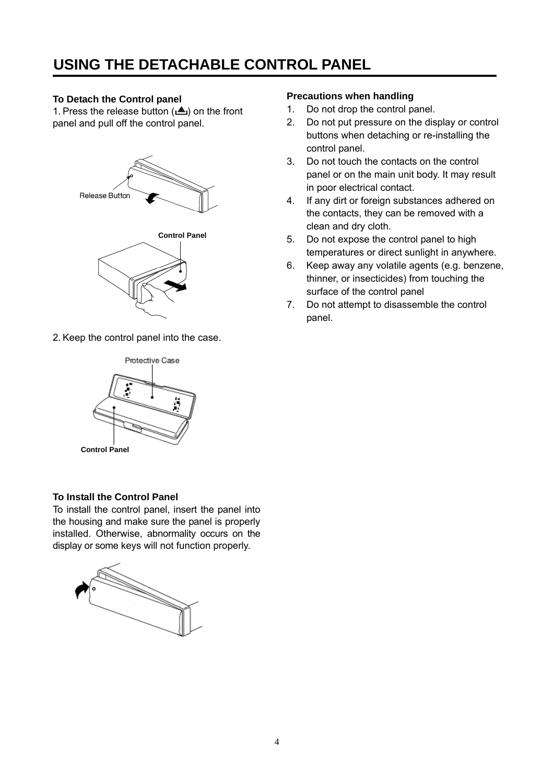### **USING THE DETACHABLE CONTROL PANEL**

#### **To Detach the Control panel**

1. Press the release button  $(\triangle)$  on the front panel and pull off the control panel.



2. Keep the control panel into the case.



#### **To Install the Control Panel**

To install the control panel, insert the panel into the housing and make sure the panel is properly installed. Otherwise, abnormality occurs on the display or some keys will not function properly.



#### **Precautions when handling**

- 1. Do not drop the control panel.
- 2. Do not put pressure on the display or control buttons when detaching or re-installing the control panel.
- 3. Do not touch the contacts on the control panel or on the main unit body. It may result in poor electrical contact.
- 4. If any dirt or foreign substances adhered on the contacts, they can be removed with a clean and dry cloth.
- 5. Do not expose the control panel to high temperatures or direct sunlight in anywhere.
- 6. Keep away any volatile agents (e.g. benzene, thinner, or insecticides) from touching the surface of the control panel
- 7. Do not attempt to disassemble the control panel.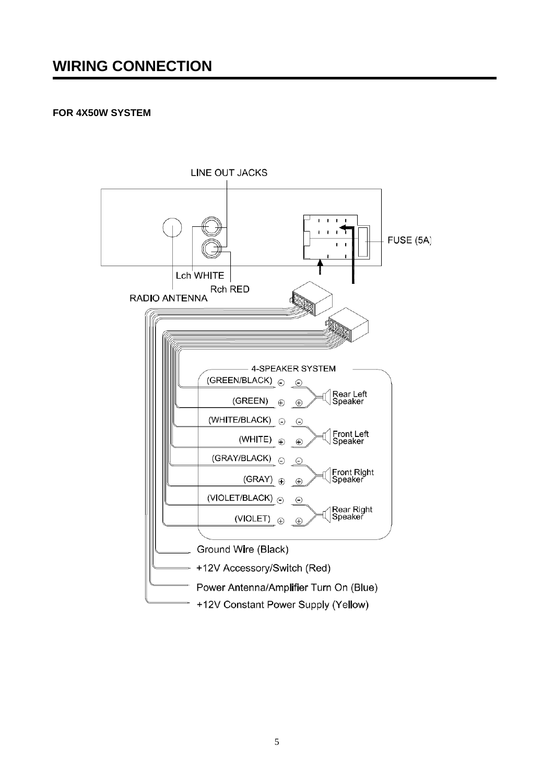#### **FOR 4X50W SYSTEM**

֚֡֘

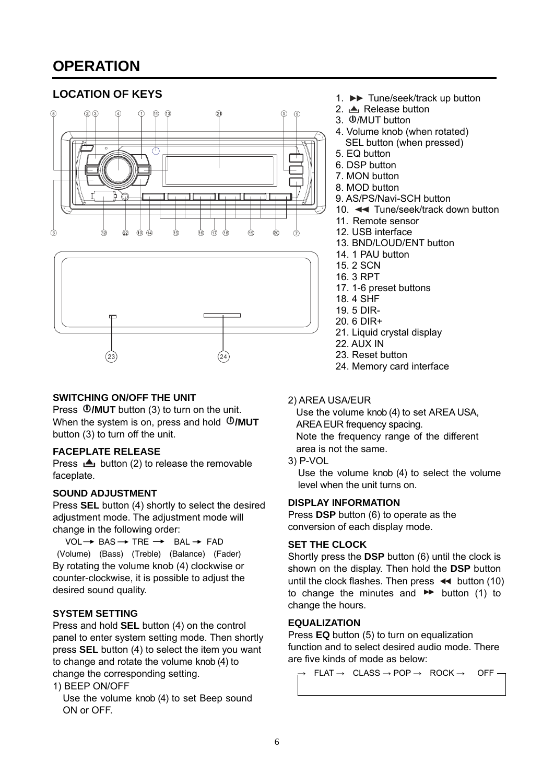### **OPERATION**

#### **LOCATION OF KEYS**



#### **SWITCHING ON/OFF THE UNIT**

Press *D/MUT* button (3) to turn on the unit. When the system is on, press and hold **D/MUT** button (3) to turn off the unit.

#### **FACEPLATE RELEASE**

Press  $\triangle$  button (2) to release the removable faceplate.

#### **SOUND ADJUSTMENT**

Press **SEL** button (4) shortly to select the desired adjustment mode. The adjustment mode will change in the following order:

 $VOL \rightarrow BAS \rightarrow THE \rightarrow BAL \rightarrow FAD$ (Volume) (Bass) (Treble) (Balance) (Fader) By rotating the volume knob (4) clockwise or counter-clockwise, it is possible to adjust the desired sound quality.

#### **SYSTEM SETTING**

Press and hold **SEL** button (4) on the control panel to enter system setting mode. Then shortly press **SEL** button (4) to select the item you want to change and rotate the volume knob (4) to change the corresponding setting.

1) BEEP ON/OFF

Use the volume knob (4) to set Beep sound ON or OFF.

- 1. ►► Tune/seek/track up button
- 2. **▲** Release button
- 3.  $\Phi$ /MUT button
- 4. Volume knob (when rotated) SEL button (when pressed)
- 5. EQ button
- 6. DSP button
- 7. MON button
- 8. MOD button
- 9. AS/PS/Navi-SCH button
- 10. **Tune/seek/track down button**
- 11. Remote sensor
- 12. USB interface
- 13. BND/LOUD/ENT button
- 14. 1 PAU button
- 15. 2 SCN
- 16. 3 RPT
- 17. 1-6 preset buttons
- 18. 4 SHF
- 19. 5 DIR-
- 20. 6 DIR+
- 21. Liquid crystal display
- 22. AUX IN
- 23. Reset button
- 24. Memory card interface
- 2) AREA USA/EUR

Use the volume knob (4) to set AREA USA, AREA EUR frequency spacing. Note the frequency range of the different area is not the same.

3) P-VOL

Use the volume knob (4) to select the volume level when the unit turns on.

#### **DISPLAY INFORMATION**

Press **DSP** button (6) to operate as the conversion of each display mode.

#### **SET THE CLOCK**

Shortly press the **DSP** button (6) until the clock is shown on the display. Then hold the **DSP** button until the clock flashes. Then press  $\leftrightarrow$  button (10) to change the minutes and  $\blacktriangleright$  button (1) to change the hours.

#### **EQUALIZATION**

Press **EQ** button (5) to turn on equalization function and to select desired audio mode. There are five kinds of mode as below:

 $FLAT \rightarrow CLASS \rightarrow POP \rightarrow ROCK \rightarrow OFF \cdot$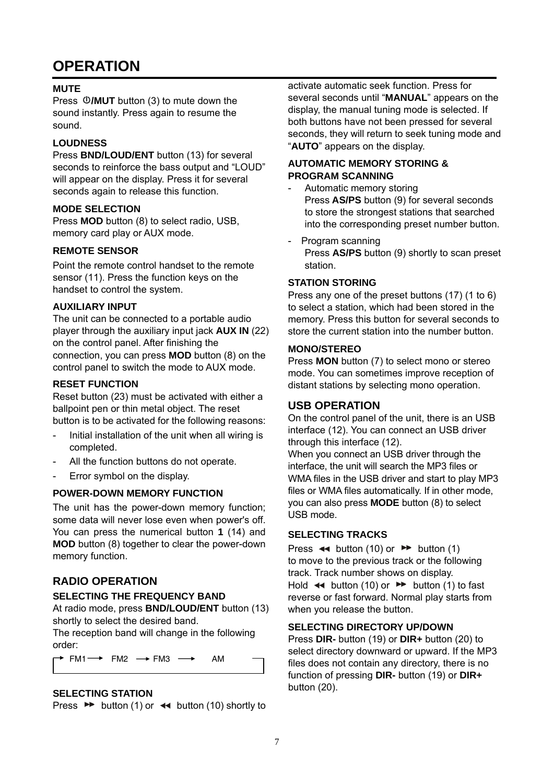### **OPERATION**

#### **MUTE**

Press *D/MUT* button (3) to mute down the sound instantly. Press again to resume the sound.

#### **LOUDNESS**

Press **BND/LOUD/ENT** button (13) for several seconds to reinforce the bass output and "LOUD" will appear on the display. Press it for several seconds again to release this function.

#### **MODE SELECTION**

Press **MOD** button (8) to select radio, USB, memory card play or AUX mode.

#### **REMOTE SENSOR**

Point the remote control handset to the remote sensor (11). Press the function keys on the handset to control the system.

#### **AUXILIARY INPUT**

The unit can be connected to a portable audio player through the auxiliary input jack **AUX IN** (22) on the control panel. After finishing the connection, you can press **MOD** button (8) on the control panel to switch the mode to AUX mode.

#### **RESET FUNCTION**

Reset button (23) must be activated with either a ballpoint pen or thin metal object. The reset button is to be activated for the following reasons:

- Initial installation of the unit when all wiring is completed.
- All the function buttons do not operate.
- Error symbol on the display.

#### **POWER-DOWN MEMORY FUNCTION**

The unit has the power-down memory function; some data will never lose even when power's off. You can press the numerical button **1** (14) and **MOD** button (8) together to clear the power-down memory function.

#### **RADIO OPERATION**

#### **SELECTING THE FREQUENCY BAND**

At radio mode, press **BND/LOUD/ENT** button (13) shortly to select the desired band.

The reception band will change in the following order:

 $\rightarrow$  FM1  $\rightarrow$  FM2  $\rightarrow$  FM3  $\rightarrow$  AM

#### **SELECTING STATION**

L

Press  $\rightarrow$  button (1) or  $\rightarrow$  button (10) shortly to

activate automatic seek function. Press for several seconds until "**MANUAL**" appears on the display, the manual tuning mode is selected. If both buttons have not been pressed for several seconds, they will return to seek tuning mode and "**AUTO**" appears on the display.

#### **AUTOMATIC MEMORY STORING & PROGRAM SCANNING**

- Automatic memory storing Press **AS/PS** button (9) for several seconds to store the strongest stations that searched into the corresponding preset number button.
- Program scanning Press **AS/PS** button (9) shortly to scan preset station.

#### **STATION STORING**

Press any one of the preset buttons (17) (1 to 6) to select a station, which had been stored in the memory. Press this button for several seconds to store the current station into the number button.

#### **MONO/STEREO**

Press **MON** button (7) to select mono or stereo mode. You can sometimes improve reception of distant stations by selecting mono operation.

#### **USB OPERATION**

On the control panel of the unit, there is an USB interface (12). You can connect an USB driver through this interface (12).

When you connect an USB driver through the interface, the unit will search the MP3 files or WMA files in the USB driver and start to play MP3 files or WMA files automatically. If in other mode, you can also press **MODE** button (8) to select USB mode.

#### **SELECTING TRACKS**

Press  $\leftrightarrow$  button (10) or  $\rightarrow$  button (1) to move to the previous track or the following track. Track number shows on display. Hold  $\leftrightarrow$  button (10) or  $\rightarrow$  button (1) to fast reverse or fast forward. Normal play starts from when you release the button.

#### **SELECTING DIRECTORY UP/DOWN**

Press **DIR-** button (19) or **DIR+** button (20) to select directory downward or upward. If the MP3 files does not contain any directory, there is no function of pressing **DIR-** button (19) or **DIR+**  button (20).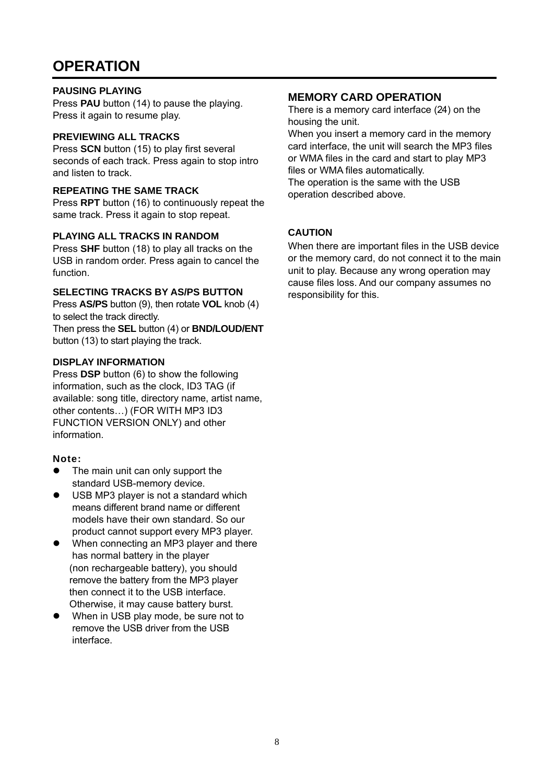### **OPERATION**

#### **PAUSING PLAYING**

Press **PAU** button (14) to pause the playing. Press it again to resume play.

#### **PREVIEWING ALL TRACKS**

Press **SCN** button (15) to play first several seconds of each track. Press again to stop intro and listen to track.

#### **REPEATING THE SAME TRACK**

Press **RPT** button (16) to continuously repeat the same track. Press it again to stop repeat.

#### **PLAYING ALL TRACKS IN RANDOM**

Press **SHF** button (18) to play all tracks on the USB in random order. Press again to cancel the function.

#### **SELECTING TRACKS BY AS/PS BUTTON**

Press **AS/PS** button (9), then rotate **VOL** knob (4) to select the track directly.

Then press the **SEL** button (4) or **BND/LOUD/ENT** button (13) to start playing the track.

#### **DISPLAY INFORMATION**

Press **DSP** button (6) to show the following information, such as the clock, ID3 TAG (if available: song title, directory name, artist name, other contents…) (FOR WITH MP3 ID3 FUNCTION VERSION ONLY) and other information.

#### **Note:**

- $\bullet$  The main unit can only support the standard USB-memory device.
- $\bullet$  USB MP3 player is not a standard which means different brand name or different models have their own standard. So our product cannot support every MP3 player.
- When connecting an MP3 player and there has normal battery in the player (non rechargeable battery), you should remove the battery from the MP3 player then connect it to the USB interface. Otherwise, it may cause battery burst.
- When in USB play mode, be sure not to remove the USB driver from the USB interface.

#### **MEMORY CARD OPERATION**

There is a memory card interface (24) on the housing the unit.

When you insert a memory card in the memory card interface, the unit will search the MP3 files or WMA files in the card and start to play MP3 files or WMA files automatically.

The operation is the same with the USB operation described above.

#### **CAUTION**

When there are important files in the USB device or the memory card, do not connect it to the main unit to play. Because any wrong operation may cause files loss. And our company assumes no responsibility for this.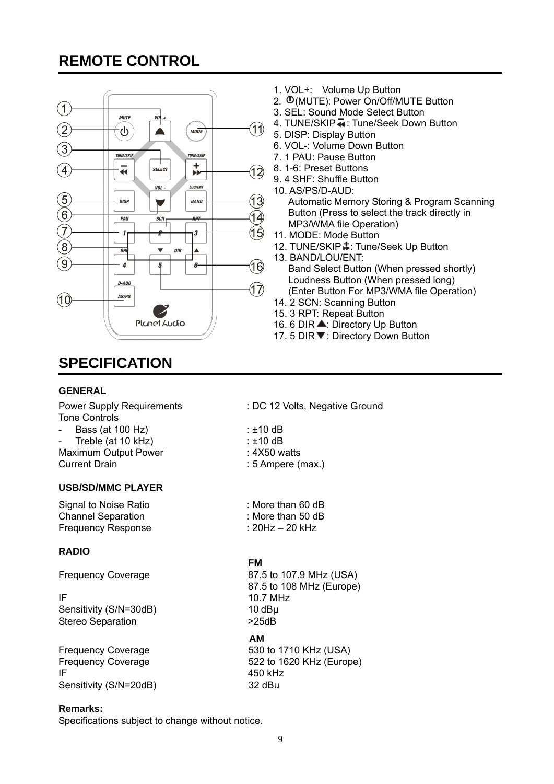## **REMOTE CONTROL**



## **SPECIFICATION**

#### **GENERAL**

Tone Controls

- Bass (at 100 Hz) : ±10 dB
- Treble (at 10 kHz) : ±10 dB Maximum Output Power : 4X50 watts Current Drain **Current Drain Current Drain Current Drain Current Current Oral 2016**

#### **USB/SD/MMC PLAYER**

Signal to Noise Ratio : More than 60 dB Channel Separation : More than 50 dB Frequency Response : 20Hz – 20 kHz

#### **RADIO**

Sensitivity (S/N=30dB) Stereo Separation  $>25dB$ 

Sensitivity (S/N=20dB) 32 dBu  $\mathsf{IF}$  450 kHz

#### **Remarks:**

Specifications subject to change without notice.

- 1. VOL+: Volume Up Button
- 2. **(D(MUTE): Power On/Off/MUTE Button**
- 3. SEL: Sound Mode Select Button
- 4. TUNE/SKIP  $\overline{\bullet}$ : Tune/Seek Down Button
- 5. DISP: Display Button
- 6. VOL-: Volume Down Button
- 7. 1 PAU: Pause Button
- 8. 1-6: Preset Buttons
- 9. 4 SHF: Shuffle Button
- 10. AS/PS/D-AUD:

Automatic Memory Storing & Program Scanning Button (Press to select the track directly in MP3/WMA file Operation)

- 11. MODE: Mode Button
- 12. TUNE/SKIP  $\frac{1}{2}$ : Tune/Seek Up Button
- 13. BAND/LOU/ENT: Band Select Button (When pressed shortly) Loudness Button (When pressed long) (Enter Button For MP3/WMA file Operation)
- 14. 2 SCN: Scanning Button
- 15. 3 RPT: Repeat Button
- 16. 6 DIR ▲: Directory Up Button
- 17. 5 DIR ▼: Directory Down Button
- Power Supply Requirements : DC 12 Volts, Negative Ground
	-
	-
	-
	-

#### *FM*

 μ 10 dB **AM**  Frequency Coverage 87.5 to 107.9 MHz (USA)  $87.5$  to 108 MHz (Europe)<br> $10.7$  MHz  $10.7$  MHz

Frequency Coverage 630 to 1710 KHz (USA) Frequency Coverage 522 to 1620 KHz (Europe)